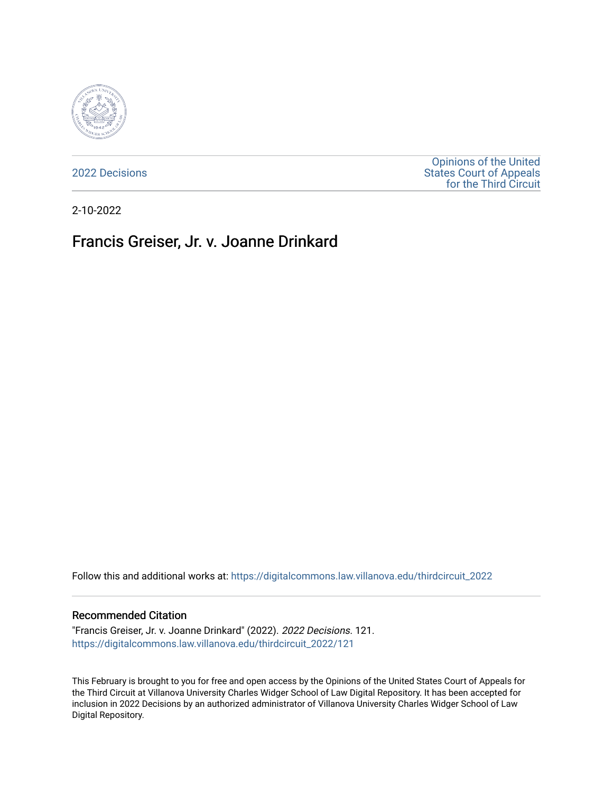

[2022 Decisions](https://digitalcommons.law.villanova.edu/thirdcircuit_2022)

[Opinions of the United](https://digitalcommons.law.villanova.edu/thirdcircuit)  [States Court of Appeals](https://digitalcommons.law.villanova.edu/thirdcircuit)  [for the Third Circuit](https://digitalcommons.law.villanova.edu/thirdcircuit) 

2-10-2022

# Francis Greiser, Jr. v. Joanne Drinkard

Follow this and additional works at: [https://digitalcommons.law.villanova.edu/thirdcircuit\\_2022](https://digitalcommons.law.villanova.edu/thirdcircuit_2022?utm_source=digitalcommons.law.villanova.edu%2Fthirdcircuit_2022%2F121&utm_medium=PDF&utm_campaign=PDFCoverPages) 

#### Recommended Citation

"Francis Greiser, Jr. v. Joanne Drinkard" (2022). 2022 Decisions. 121. [https://digitalcommons.law.villanova.edu/thirdcircuit\\_2022/121](https://digitalcommons.law.villanova.edu/thirdcircuit_2022/121?utm_source=digitalcommons.law.villanova.edu%2Fthirdcircuit_2022%2F121&utm_medium=PDF&utm_campaign=PDFCoverPages)

This February is brought to you for free and open access by the Opinions of the United States Court of Appeals for the Third Circuit at Villanova University Charles Widger School of Law Digital Repository. It has been accepted for inclusion in 2022 Decisions by an authorized administrator of Villanova University Charles Widger School of Law Digital Repository.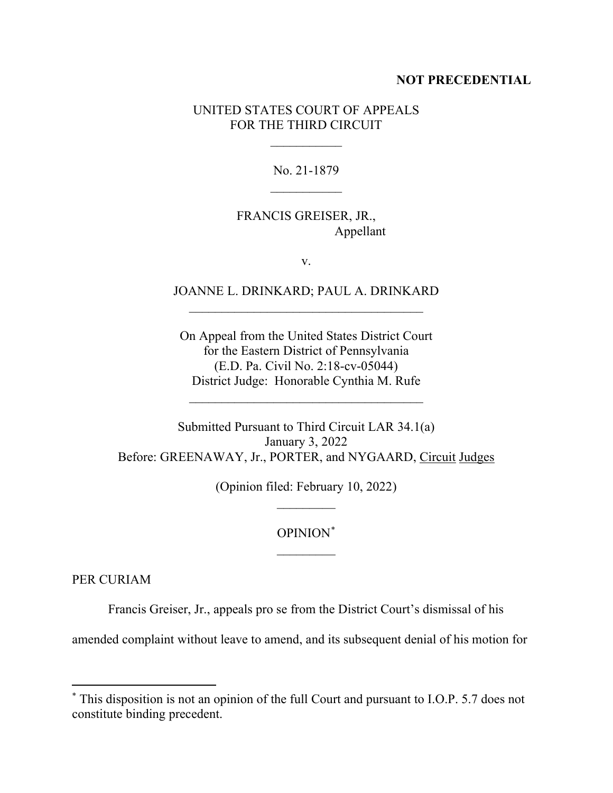### **NOT PRECEDENTIAL**

### UNITED STATES COURT OF APPEALS FOR THE THIRD CIRCUIT

 $\frac{1}{2}$ 

No. 21-1879  $\frac{1}{2}$ 

## FRANCIS GREISER, JR., Appellant

v.

### JOANNE L. DRINKARD; PAUL A. DRINKARD \_\_\_\_\_\_\_\_\_\_\_\_\_\_\_\_\_\_\_\_\_\_\_\_\_\_\_\_\_\_\_\_\_\_\_\_

On Appeal from the United States District Court for the Eastern District of Pennsylvania (E.D. Pa. Civil No. 2:18-cv-05044) District Judge: Honorable Cynthia M. Rufe

 $\mathcal{L}_\text{max}$  , where  $\mathcal{L}_\text{max}$  is the set of the set of the set of the set of the set of the set of the set of the set of the set of the set of the set of the set of the set of the set of the set of the set of the se

Submitted Pursuant to Third Circuit LAR 34.1(a) January 3, 2022 Before: GREENAWAY, Jr., PORTER, and NYGAARD, Circuit Judges

> (Opinion filed: February 10, 2022)  $\frac{1}{2}$

# OPINION[\\*](#page-1-0)  $\overline{\phantom{a}}$

PER CURIAM

Francis Greiser, Jr., appeals pro se from the District Court's dismissal of his

amended complaint without leave to amend, and its subsequent denial of his motion for

<span id="page-1-0"></span><sup>\*</sup> This disposition is not an opinion of the full Court and pursuant to I.O.P. 5.7 does not constitute binding precedent.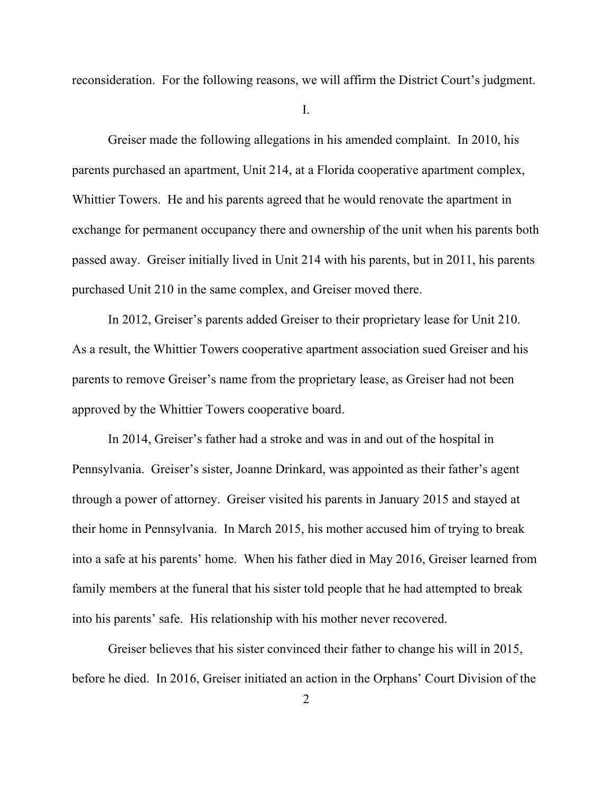reconsideration. For the following reasons, we will affirm the District Court's judgment.

I.

Greiser made the following allegations in his amended complaint. In 2010, his parents purchased an apartment, Unit 214, at a Florida cooperative apartment complex, Whittier Towers. He and his parents agreed that he would renovate the apartment in exchange for permanent occupancy there and ownership of the unit when his parents both passed away. Greiser initially lived in Unit 214 with his parents, but in 2011, his parents purchased Unit 210 in the same complex, and Greiser moved there.

In 2012, Greiser's parents added Greiser to their proprietary lease for Unit 210. As a result, the Whittier Towers cooperative apartment association sued Greiser and his parents to remove Greiser's name from the proprietary lease, as Greiser had not been approved by the Whittier Towers cooperative board.

In 2014, Greiser's father had a stroke and was in and out of the hospital in Pennsylvania. Greiser's sister, Joanne Drinkard, was appointed as their father's agent through a power of attorney. Greiser visited his parents in January 2015 and stayed at their home in Pennsylvania. In March 2015, his mother accused him of trying to break into a safe at his parents' home. When his father died in May 2016, Greiser learned from family members at the funeral that his sister told people that he had attempted to break into his parents' safe. His relationship with his mother never recovered.

Greiser believes that his sister convinced their father to change his will in 2015, before he died. In 2016, Greiser initiated an action in the Orphans' Court Division of the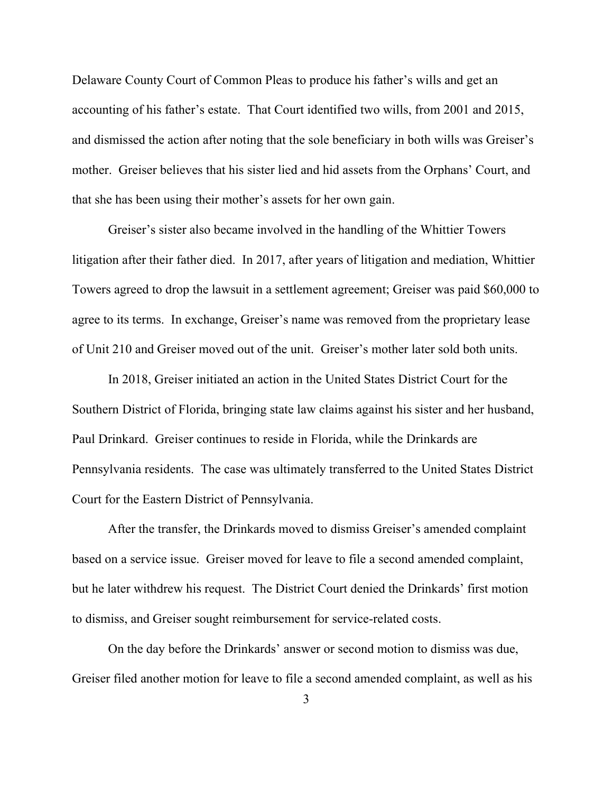Delaware County Court of Common Pleas to produce his father's wills and get an accounting of his father's estate. That Court identified two wills, from 2001 and 2015, and dismissed the action after noting that the sole beneficiary in both wills was Greiser's mother. Greiser believes that his sister lied and hid assets from the Orphans' Court, and that she has been using their mother's assets for her own gain.

Greiser's sister also became involved in the handling of the Whittier Towers litigation after their father died. In 2017, after years of litigation and mediation, Whittier Towers agreed to drop the lawsuit in a settlement agreement; Greiser was paid \$60,000 to agree to its terms. In exchange, Greiser's name was removed from the proprietary lease of Unit 210 and Greiser moved out of the unit. Greiser's mother later sold both units.

In 2018, Greiser initiated an action in the United States District Court for the Southern District of Florida, bringing state law claims against his sister and her husband, Paul Drinkard. Greiser continues to reside in Florida, while the Drinkards are Pennsylvania residents. The case was ultimately transferred to the United States District Court for the Eastern District of Pennsylvania.

After the transfer, the Drinkards moved to dismiss Greiser's amended complaint based on a service issue. Greiser moved for leave to file a second amended complaint, but he later withdrew his request. The District Court denied the Drinkards' first motion to dismiss, and Greiser sought reimbursement for service-related costs.

On the day before the Drinkards' answer or second motion to dismiss was due, Greiser filed another motion for leave to file a second amended complaint, as well as his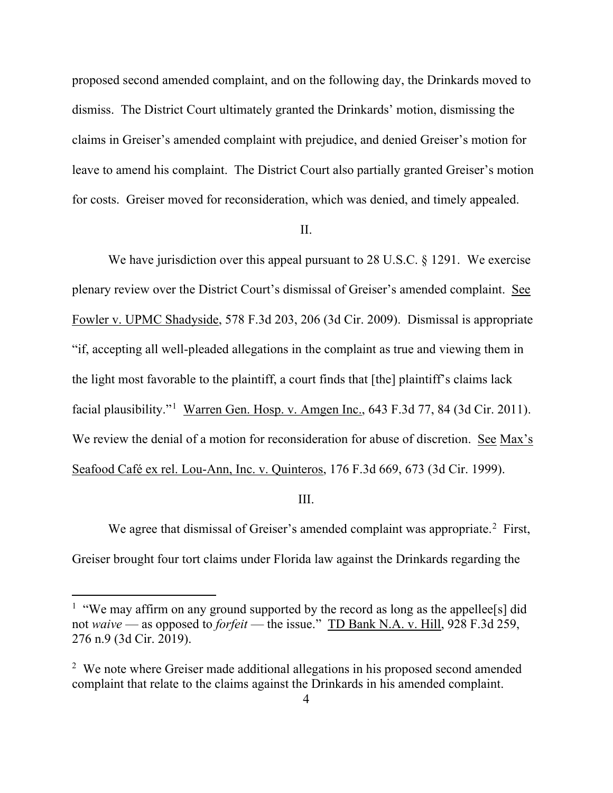proposed second amended complaint, and on the following day, the Drinkards moved to dismiss. The District Court ultimately granted the Drinkards' motion, dismissing the claims in Greiser's amended complaint with prejudice, and denied Greiser's motion for leave to amend his complaint. The District Court also partially granted Greiser's motion for costs. Greiser moved for reconsideration, which was denied, and timely appealed.

#### II.

We have jurisdiction over this appeal pursuant to 28 U.S.C. § 1291. We exercise plenary review over the District Court's dismissal of Greiser's amended complaint. See Fowler v. UPMC Shadyside, 578 F.3d 203, 206 (3d Cir. 2009). Dismissal is appropriate "if, accepting all well-pleaded allegations in the complaint as true and viewing them in the light most favorable to the plaintiff, a court finds that [the] plaintiff's claims lack facial plausibility."<sup>[1](#page-4-0)</sup> Warren Gen. Hosp. v. Amgen Inc., 643 F.3d 77, 84 (3d Cir. 2011). We review the denial of a motion for reconsideration for abuse of discretion. See Max's Seafood Café ex rel. Lou-Ann, Inc. v. Quinteros, 176 F.3d 669, 673 (3d Cir. 1999).

#### III.

We agree that dismissal of Greiser's amended complaint was appropriate.<sup>[2](#page-4-1)</sup> First, Greiser brought four tort claims under Florida law against the Drinkards regarding the

<span id="page-4-0"></span><sup>&</sup>lt;sup>1</sup> "We may affirm on any ground supported by the record as long as the appellee<sup>[s]</sup> did not *waive* — as opposed to *forfeit* — the issue." TD Bank N.A. v. Hill, 928 F.3d 259, 276 n.9 (3d Cir. 2019).

<span id="page-4-1"></span><sup>&</sup>lt;sup>2</sup> We note where Greiser made additional allegations in his proposed second amended complaint that relate to the claims against the Drinkards in his amended complaint.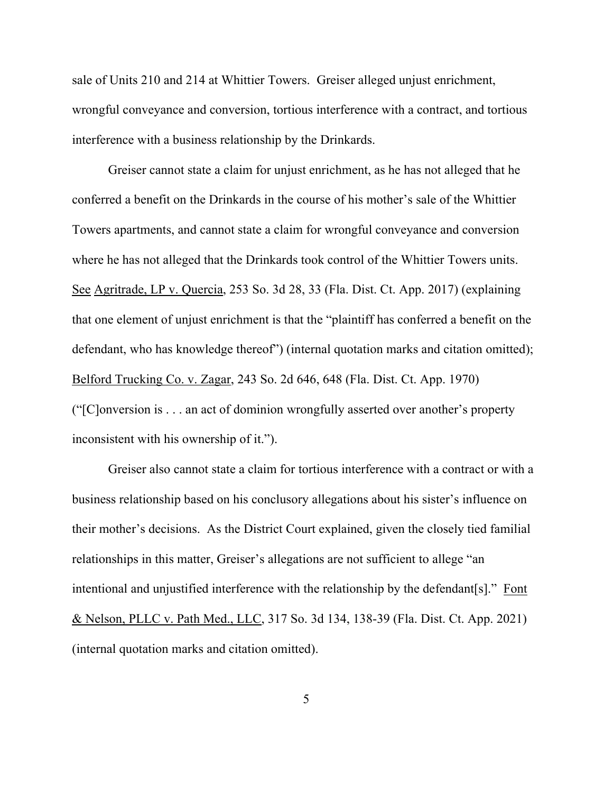sale of Units 210 and 214 at Whittier Towers. Greiser alleged unjust enrichment, wrongful conveyance and conversion, tortious interference with a contract, and tortious interference with a business relationship by the Drinkards.

Greiser cannot state a claim for unjust enrichment, as he has not alleged that he conferred a benefit on the Drinkards in the course of his mother's sale of the Whittier Towers apartments, and cannot state a claim for wrongful conveyance and conversion where he has not alleged that the Drinkards took control of the Whittier Towers units. See Agritrade, LP v. Quercia, 253 So. 3d 28, 33 (Fla. Dist. Ct. App. 2017) (explaining that one element of unjust enrichment is that the "plaintiff has conferred a benefit on the defendant, who has knowledge thereof") (internal quotation marks and citation omitted); Belford Trucking Co. v. Zagar, 243 So. 2d 646, 648 (Fla. Dist. Ct. App. 1970) ("[C]onversion is . . . an act of dominion wrongfully asserted over another's property inconsistent with his ownership of it.").

Greiser also cannot state a claim for tortious interference with a contract or with a business relationship based on his conclusory allegations about his sister's influence on their mother's decisions. As the District Court explained, given the closely tied familial relationships in this matter, Greiser's allegations are not sufficient to allege "an intentional and unjustified interference with the relationship by the defendant[s]." Font & Nelson, PLLC v. Path Med., LLC, 317 So. 3d 134, 138-39 (Fla. Dist. Ct. App. 2021) (internal quotation marks and citation omitted).

5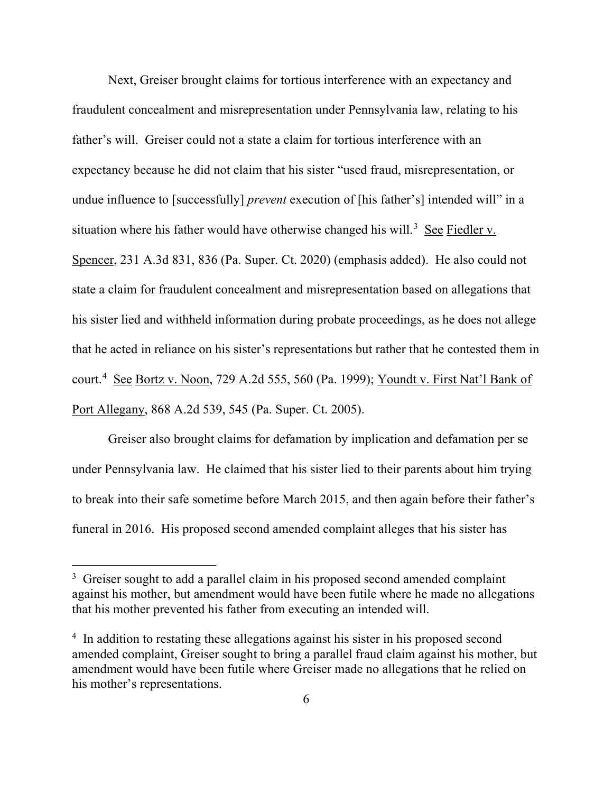Next, Greiser brought claims for tortious interference with an expectancy and fraudulent concealment and misrepresentation under Pennsylvania law, relating to his father's will. Greiser could not a state a claim for tortious interference with an expectancy because he did not claim that his sister "used fraud, misrepresentation, or undue influence to [successfully] *prevent* execution of [his father's] intended will" in a situation where his father would have otherwise changed his will.<sup>[3](#page-6-0)</sup> See Fiedler v. Spencer, 231 A.3d 831, 836 (Pa. Super. Ct. 2020) (emphasis added). He also could not state a claim for fraudulent concealment and misrepresentation based on allegations that his sister lied and withheld information during probate proceedings, as he does not allege that he acted in reliance on his sister's representations but rather that he contested them in court.<sup>[4](#page-6-1)</sup> See Bortz v. Noon, 729 A.2d 555, 560 (Pa. 1999); Youndt v. First Nat'l Bank of Port Allegany, 868 A.2d 539, 545 (Pa. Super. Ct. 2005).

Greiser also brought claims for defamation by implication and defamation per se under Pennsylvania law. He claimed that his sister lied to their parents about him trying to break into their safe sometime before March 2015, and then again before their father's funeral in 2016. His proposed second amended complaint alleges that his sister has

<span id="page-6-0"></span><sup>&</sup>lt;sup>3</sup> Greiser sought to add a parallel claim in his proposed second amended complaint against his mother, but amendment would have been futile where he made no allegations that his mother prevented his father from executing an intended will.

<span id="page-6-1"></span><sup>&</sup>lt;sup>4</sup> In addition to restating these allegations against his sister in his proposed second amended complaint, Greiser sought to bring a parallel fraud claim against his mother, but amendment would have been futile where Greiser made no allegations that he relied on his mother's representations.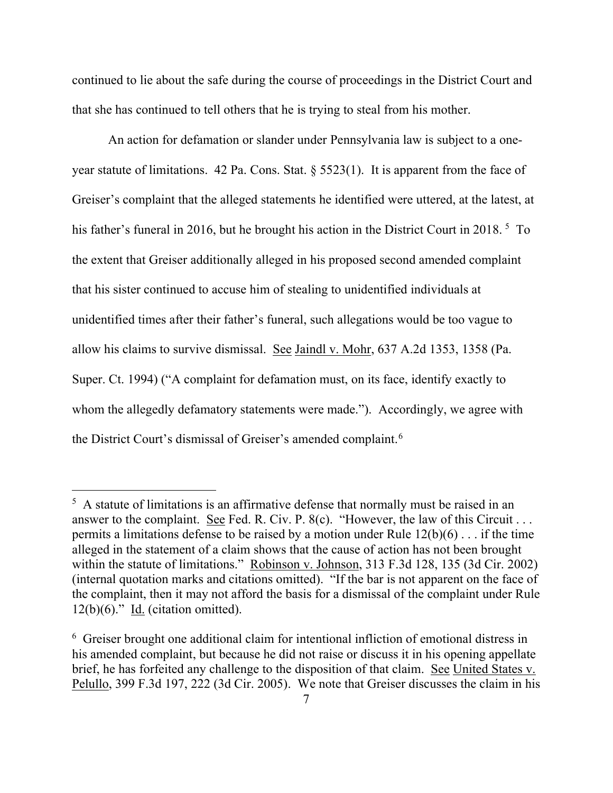continued to lie about the safe during the course of proceedings in the District Court and that she has continued to tell others that he is trying to steal from his mother.

An action for defamation or slander under Pennsylvania law is subject to a oneyear statute of limitations. 42 Pa. Cons. Stat. § 5523(1). It is apparent from the face of Greiser's complaint that the alleged statements he identified were uttered, at the latest, at his father's funeral in 2016, but he brought his action in the District Court in 2018.<sup>[5](#page-7-0)</sup> To the extent that Greiser additionally alleged in his proposed second amended complaint that his sister continued to accuse him of stealing to unidentified individuals at unidentified times after their father's funeral, such allegations would be too vague to allow his claims to survive dismissal. See Jaindl v. Mohr, 637 A.2d 1353, 1358 (Pa. Super. Ct. 1994) ("A complaint for defamation must, on its face, identify exactly to whom the allegedly defamatory statements were made."). Accordingly, we agree with the District Court's dismissal of Greiser's amended complaint.<sup>[6](#page-7-1)</sup>

<span id="page-7-0"></span> $5$  A statute of limitations is an affirmative defense that normally must be raised in an answer to the complaint. See Fed. R. Civ. P. 8(c). "However, the law of this Circuit . . . permits a limitations defense to be raised by a motion under Rule  $12(b)(6) \ldots$  if the time alleged in the statement of a claim shows that the cause of action has not been brought within the statute of limitations." Robinson v. Johnson, 313 F.3d 128, 135 (3d Cir. 2002) (internal quotation marks and citations omitted). "If the bar is not apparent on the face of the complaint, then it may not afford the basis for a dismissal of the complaint under Rule  $12(b)(6)$ ." Id. (citation omitted).

<span id="page-7-1"></span><sup>6</sup> Greiser brought one additional claim for intentional infliction of emotional distress in his amended complaint, but because he did not raise or discuss it in his opening appellate brief, he has forfeited any challenge to the disposition of that claim. See United States v. Pelullo, 399 F.3d 197, 222 (3d Cir. 2005). We note that Greiser discusses the claim in his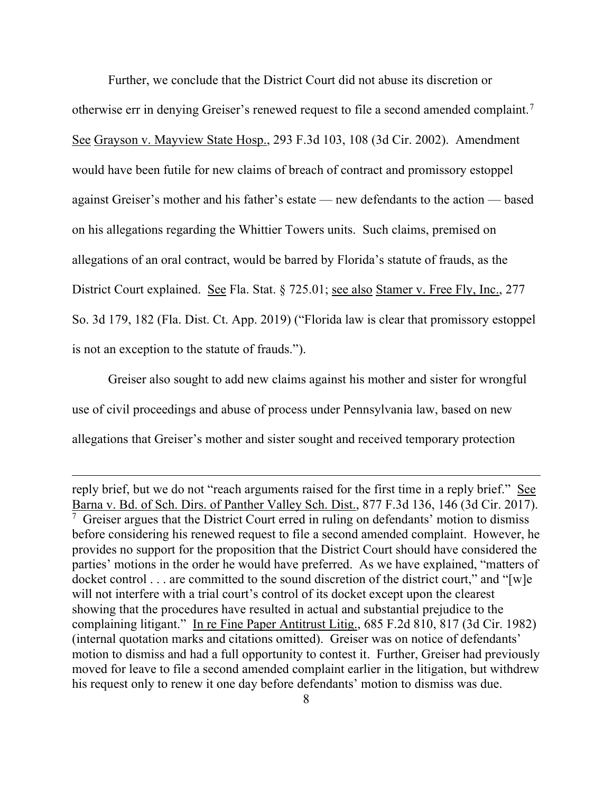Further, we conclude that the District Court did not abuse its discretion or otherwise err in denying Greiser's renewed request to file a second amended complaint.<sup>[7](#page-8-0)</sup> See Grayson v. Mayview State Hosp., 293 F.3d 103, 108 (3d Cir. 2002). Amendment would have been futile for new claims of breach of contract and promissory estoppel against Greiser's mother and his father's estate — new defendants to the action — based on his allegations regarding the Whittier Towers units. Such claims, premised on allegations of an oral contract, would be barred by Florida's statute of frauds, as the District Court explained. See Fla. Stat. § 725.01; see also Stamer v. Free Fly, Inc., 277 So. 3d 179, 182 (Fla. Dist. Ct. App. 2019) ("Florida law is clear that promissory estoppel is not an exception to the statute of frauds.").

Greiser also sought to add new claims against his mother and sister for wrongful use of civil proceedings and abuse of process under Pennsylvania law, based on new allegations that Greiser's mother and sister sought and received temporary protection

<span id="page-8-0"></span>reply brief, but we do not "reach arguments raised for the first time in a reply brief." See Barna v. Bd. of Sch. Dirs. of Panther Valley Sch. Dist., 877 F.3d 136, 146 (3d Cir. 2017).  $\frac{7}{7}$  Greiser argues that the District Court erred in ruling on defendants' motion to dismiss before considering his renewed request to file a second amended complaint. However, he provides no support for the proposition that the District Court should have considered the parties' motions in the order he would have preferred. As we have explained, "matters of docket control . . . are committed to the sound discretion of the district court," and "[w]e will not interfere with a trial court's control of its docket except upon the clearest showing that the procedures have resulted in actual and substantial prejudice to the complaining litigant." In re Fine Paper Antitrust Litig., 685 F.2d 810, 817 (3d Cir. 1982) (internal quotation marks and citations omitted). Greiser was on notice of defendants' motion to dismiss and had a full opportunity to contest it. Further, Greiser had previously moved for leave to file a second amended complaint earlier in the litigation, but withdrew his request only to renew it one day before defendants' motion to dismiss was due.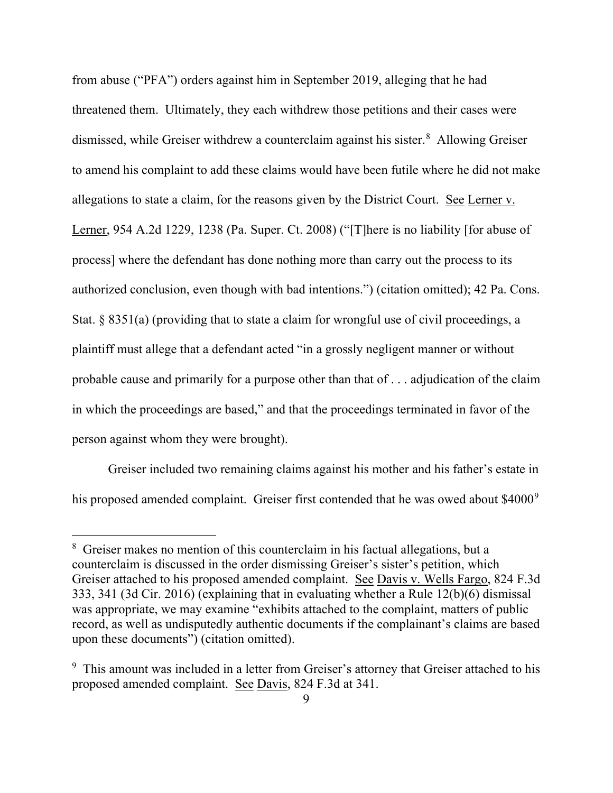from abuse ("PFA") orders against him in September 2019, alleging that he had threatened them. Ultimately, they each withdrew those petitions and their cases were dismissed, while Greiser withdrew a counterclaim against his sister. [8](#page-9-0) Allowing Greiser to amend his complaint to add these claims would have been futile where he did not make allegations to state a claim, for the reasons given by the District Court. See Lerner v. Lerner, 954 A.2d 1229, 1238 (Pa. Super. Ct. 2008) ("[T]here is no liability [for abuse of process] where the defendant has done nothing more than carry out the process to its authorized conclusion, even though with bad intentions.") (citation omitted); 42 Pa. Cons. Stat.  $\S 8351(a)$  (providing that to state a claim for wrongful use of civil proceedings, a plaintiff must allege that a defendant acted "in a grossly negligent manner or without probable cause and primarily for a purpose other than that of . . . adjudication of the claim in which the proceedings are based," and that the proceedings terminated in favor of the person against whom they were brought).

Greiser included two remaining claims against his mother and his father's estate in his proposed amended complaint. Greiser first contended that he was owed about \$4000<sup>[9](#page-9-1)</sup>

<span id="page-9-0"></span><sup>&</sup>lt;sup>8</sup> Greiser makes no mention of this counterclaim in his factual allegations, but a counterclaim is discussed in the order dismissing Greiser's sister's petition, which Greiser attached to his proposed amended complaint. See Davis v. Wells Fargo, 824 F.3d 333, 341 (3d Cir. 2016) (explaining that in evaluating whether a Rule 12(b)(6) dismissal was appropriate, we may examine "exhibits attached to the complaint, matters of public record, as well as undisputedly authentic documents if the complainant's claims are based upon these documents") (citation omitted).

<span id="page-9-1"></span><sup>&</sup>lt;sup>9</sup> This amount was included in a letter from Greiser's attorney that Greiser attached to his proposed amended complaint. See Davis, 824 F.3d at 341.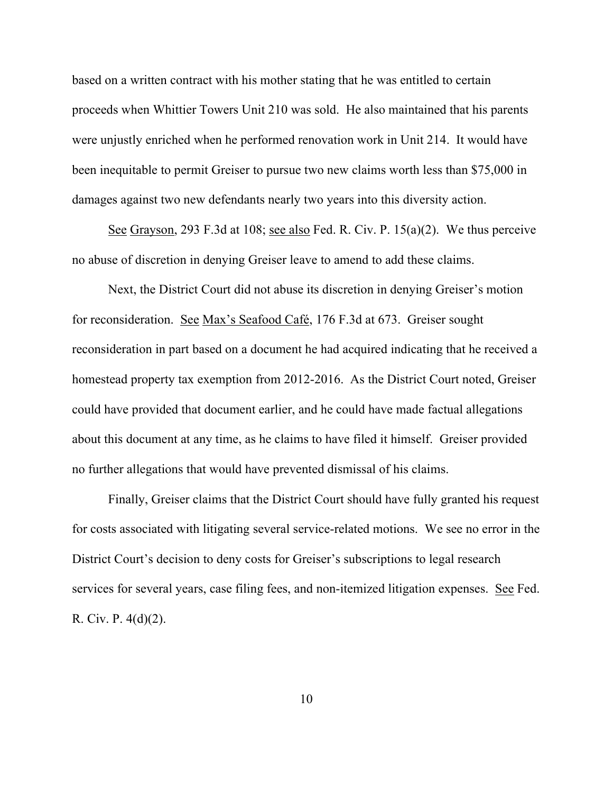based on a written contract with his mother stating that he was entitled to certain proceeds when Whittier Towers Unit 210 was sold. He also maintained that his parents were unjustly enriched when he performed renovation work in Unit 214. It would have been inequitable to permit Greiser to pursue two new claims worth less than \$75,000 in damages against two new defendants nearly two years into this diversity action.

See Grayson, 293 F.3d at 108; see also Fed. R. Civ. P. 15(a)(2). We thus perceive no abuse of discretion in denying Greiser leave to amend to add these claims.

Next, the District Court did not abuse its discretion in denying Greiser's motion for reconsideration. See Max's Seafood Café, 176 F.3d at 673. Greiser sought reconsideration in part based on a document he had acquired indicating that he received a homestead property tax exemption from 2012-2016. As the District Court noted, Greiser could have provided that document earlier, and he could have made factual allegations about this document at any time, as he claims to have filed it himself. Greiser provided no further allegations that would have prevented dismissal of his claims.

Finally, Greiser claims that the District Court should have fully granted his request for costs associated with litigating several service-related motions. We see no error in the District Court's decision to deny costs for Greiser's subscriptions to legal research services for several years, case filing fees, and non-itemized litigation expenses. See Fed. R. Civ. P. 4(d)(2).